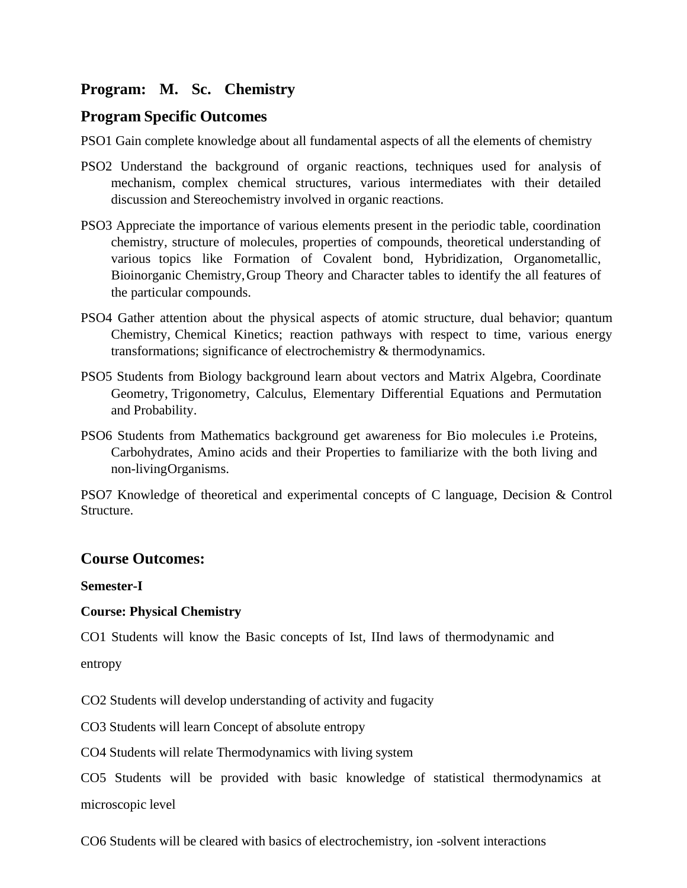# **Program: M. Sc. Chemistry**

# **Program Specific Outcomes**

PSO1 Gain complete knowledge about all fundamental aspects of all the elements of chemistry

- PSO2 Understand the background of organic reactions, techniques used for analysis of mechanism, complex chemical structures, various intermediates with their detailed discussion and Stereochemistry involved in organic reactions.
- PSO3 Appreciate the importance of various elements present in the periodic table, coordination chemistry, structure of molecules, properties of compounds, theoretical understanding of various topics like Formation of Covalent bond, Hybridization, Organometallic, Bioinorganic Chemistry,Group Theory and Character tables to identify the all features of the particular compounds.
- PSO4 Gather attention about the physical aspects of atomic structure, dual behavior; quantum Chemistry, Chemical Kinetics; reaction pathways with respect to time, various energy transformations; significance of electrochemistry & thermodynamics.
- PSO5 Students from Biology background learn about vectors and Matrix Algebra, Coordinate Geometry, Trigonometry, Calculus, Elementary Differential Equations and Permutation and Probability.
- PSO6 Students from Mathematics background get awareness for Bio molecules i.e Proteins, Carbohydrates, Amino acids and their Properties to familiarize with the both living and non-livingOrganisms.

PSO7 Knowledge of theoretical and experimental concepts of C language, Decision & Control Structure.

# **Course Outcomes:**

**Semester-I**

# **Course: Physical Chemistry**

CO1 Students will know the Basic concepts of Ist, IInd laws of thermodynamic and

entropy

CO2 Students will develop understanding of activity and fugacity

CO3 Students will learn Concept of absolute entropy

CO4 Students will relate Thermodynamics with living system

CO5 Students will be provided with basic knowledge of statistical thermodynamics at microscopic level

CO6 Students will be cleared with basics of electrochemistry, ion -solvent interactions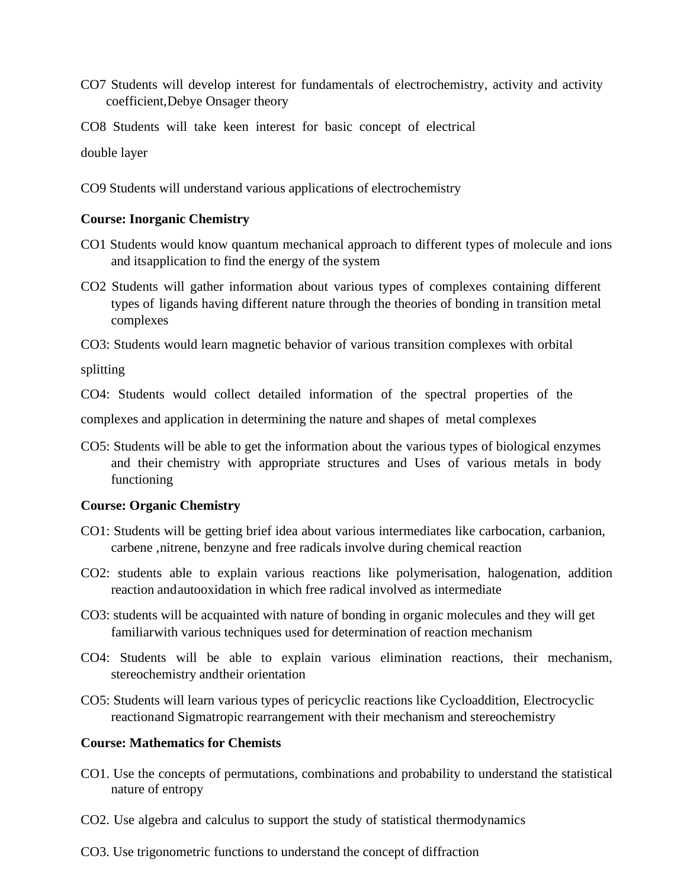- CO7 Students will develop interest for fundamentals of electrochemistry, activity and activity coefficient,Debye Onsager theory
- CO8 Students will take keen interest for basic concept of electrical

double layer

CO9 Students will understand various applications of electrochemistry

# **Course: Inorganic Chemistry**

- CO1 Students would know quantum mechanical approach to different types of molecule and ions and itsapplication to find the energy of the system
- CO2 Students will gather information about various types of complexes containing different types of ligands having different nature through the theories of bonding in transition metal complexes

CO3: Students would learn magnetic behavior of various transition complexes with orbital

splitting

CO4: Students would collect detailed information of the spectral properties of the

complexes and application in determining the nature and shapes of metal complexes

CO5: Students will be able to get the information about the various types of biological enzymes and their chemistry with appropriate structures and Uses of various metals in body functioning

# **Course: Organic Chemistry**

- CO1: Students will be getting brief idea about various intermediates like carbocation, carbanion, carbene ,nitrene, benzyne and free radicals involve during chemical reaction
- CO2: students able to explain various reactions like polymerisation, halogenation, addition reaction andautooxidation in which free radical involved as intermediate
- CO3: students will be acquainted with nature of bonding in organic molecules and they will get familiarwith various techniques used for determination of reaction mechanism
- CO4: Students will be able to explain various elimination reactions, their mechanism, stereochemistry andtheir orientation
- CO5: Students will learn various types of pericyclic reactions like Cycloaddition, Electrocyclic reactionand Sigmatropic rearrangement with their mechanism and stereochemistry

# **Course: Mathematics for Chemists**

- CO1. Use the concepts of permutations, combinations and probability to understand the statistical nature of entropy
- CO2. Use algebra and calculus to support the study of statistical thermodynamics
- CO3. Use trigonometric functions to understand the concept of diffraction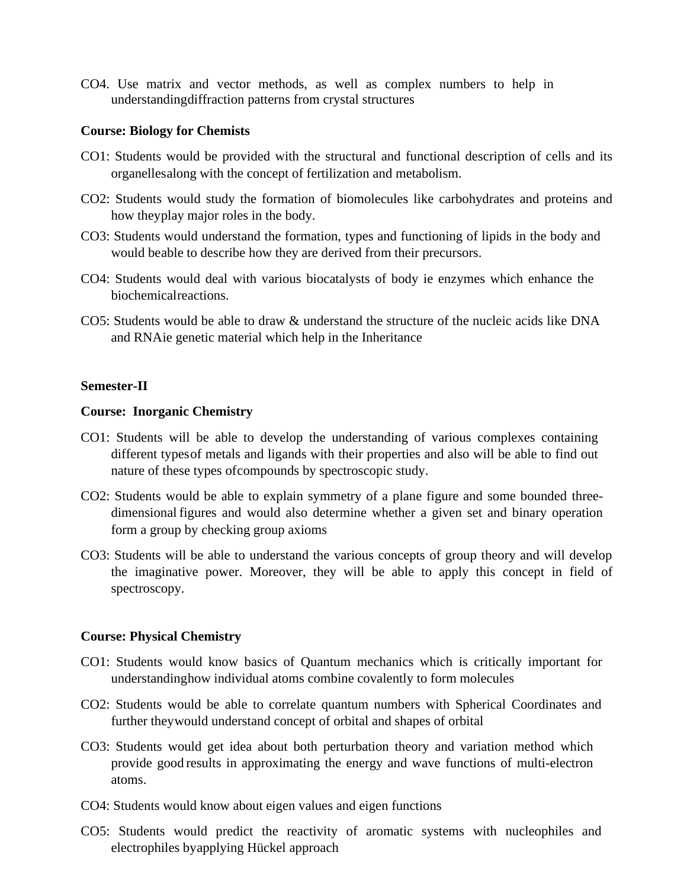CO4. Use matrix and vector methods, as well as complex numbers to help in understandingdiffraction patterns from crystal structures

### **Course: Biology for Chemists**

- CO1: Students would be provided with the structural and functional description of cells and its organellesalong with the concept of fertilization and metabolism.
- CO2: Students would study the formation of biomolecules like carbohydrates and proteins and how theyplay major roles in the body.
- CO3: Students would understand the formation, types and functioning of lipids in the body and would beable to describe how they are derived from their precursors.
- CO4: Students would deal with various biocatalysts of body ie enzymes which enhance the biochemicalreactions.
- CO5: Students would be able to draw & understand the structure of the nucleic acids like DNA and RNAie genetic material which help in the Inheritance

## **Semester-II**

#### **Course: Inorganic Chemistry**

- CO1: Students will be able to develop the understanding of various complexes containing different typesof metals and ligands with their properties and also will be able to find out nature of these types ofcompounds by spectroscopic study.
- CO2: Students would be able to explain symmetry of a plane figure and some bounded threedimensional figures and would also determine whether a given set and binary operation form a group by checking group axioms
- CO3: Students will be able to understand the various concepts of group theory and will develop the imaginative power. Moreover, they will be able to apply this concept in field of spectroscopy.

#### **Course: Physical Chemistry**

- CO1: Students would know basics of Quantum mechanics which is critically important for understandinghow individual atoms combine covalently to form molecules
- CO2: Students would be able to correlate quantum numbers with Spherical Coordinates and further theywould understand concept of orbital and shapes of orbital
- CO3: Students would get idea about both perturbation theory and variation method which provide good results in approximating the energy and wave functions of multi-electron atoms.
- CO4: Students would know about eigen values and eigen functions
- CO5: Students would predict the reactivity of aromatic systems with nucleophiles and electrophiles byapplying Hückel approach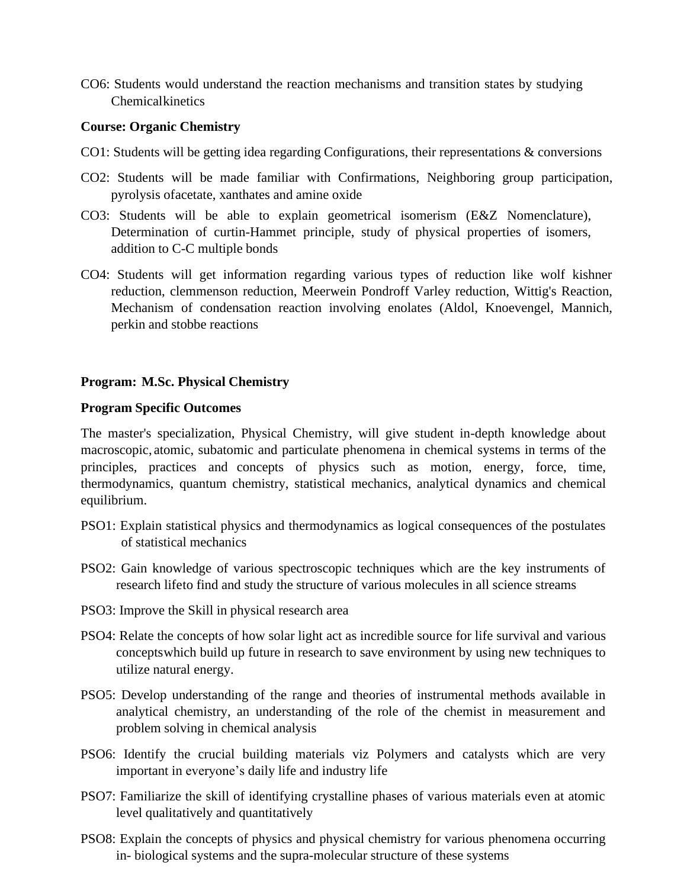CO6: Students would understand the reaction mechanisms and transition states by studying Chemicalkinetics

### **Course: Organic Chemistry**

- CO1: Students will be getting idea regarding Configurations, their representations & conversions
- CO2: Students will be made familiar with Confirmations, Neighboring group participation, pyrolysis ofacetate, xanthates and amine oxide
- CO3: Students will be able to explain geometrical isomerism (E&Z Nomenclature), Determination of curtin-Hammet principle, study of physical properties of isomers, addition to C-C multiple bonds
- CO4: Students will get information regarding various types of reduction like wolf kishner reduction, clemmenson reduction, Meerwein Pondroff Varley reduction, Wittig's Reaction, Mechanism of condensation reaction involving enolates (Aldol, Knoevengel, Mannich, perkin and stobbe reactions

# **Program: M.Sc. Physical Chemistry**

## **Program Specific Outcomes**

The master's specialization, Physical Chemistry, will give student in-depth knowledge about macroscopic, atomic, subatomic and particulate phenomena in chemical systems in terms of the principles, practices and concepts of physics such as motion, energy, force, time, thermodynamics, quantum chemistry, statistical mechanics, analytical dynamics and chemical equilibrium.

- PSO1: Explain statistical physics and thermodynamics as logical consequences of the postulates of statistical mechanics
- PSO2: Gain knowledge of various spectroscopic techniques which are the key instruments of research lifeto find and study the structure of various molecules in all science streams
- PSO3: Improve the Skill in physical research area
- PSO4: Relate the concepts of how solar light act as incredible source for life survival and various conceptswhich build up future in research to save environment by using new techniques to utilize natural energy.
- PSO5: Develop understanding of the range and theories of instrumental methods available in analytical chemistry, an understanding of the role of the chemist in measurement and problem solving in chemical analysis
- PSO6: Identify the crucial building materials viz Polymers and catalysts which are very important in everyone's daily life and industry life
- PSO7: Familiarize the skill of identifying crystalline phases of various materials even at atomic level qualitatively and quantitatively
- PSO8: Explain the concepts of physics and physical chemistry for various phenomena occurring in- biological systems and the supra-molecular structure of these systems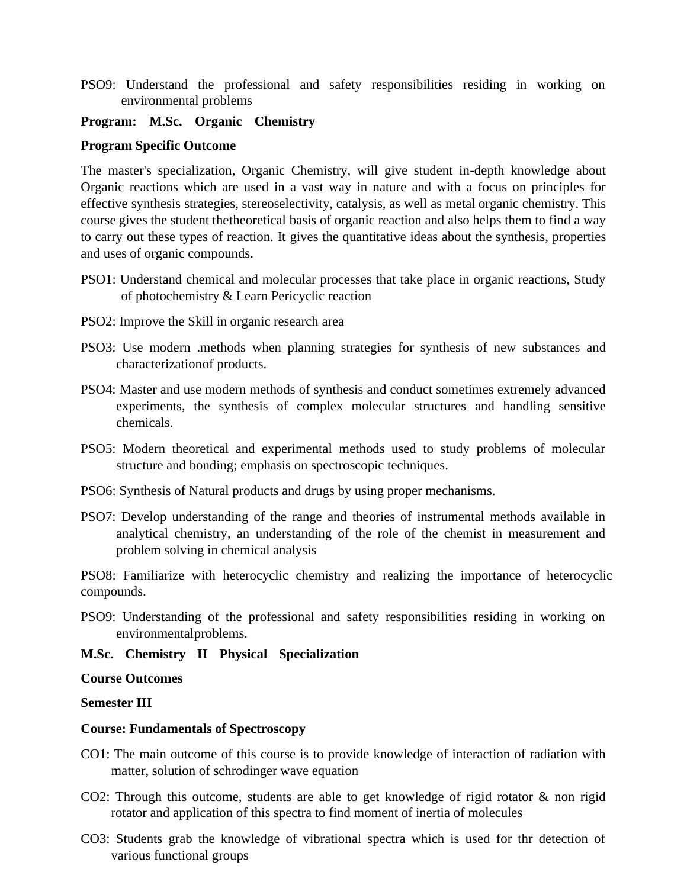PSO9: Understand the professional and safety responsibilities residing in working on environmental problems

# **Program: M.Sc. Organic Chemistry**

## **Program Specific Outcome**

The master's specialization, Organic Chemistry, will give student in-depth knowledge about Organic reactions which are used in a vast way in nature and with a focus on principles for effective synthesis strategies, stereoselectivity, catalysis, as well as metal organic chemistry. This course gives the student thetheoretical basis of organic reaction and also helps them to find a way to carry out these types of reaction. It gives the quantitative ideas about the synthesis, properties and uses of organic compounds.

- PSO1: Understand chemical and molecular processes that take place in organic reactions, Study of photochemistry & Learn Pericyclic reaction
- PSO2: Improve the Skill in organic research area
- PSO3: Use modern .methods when planning strategies for synthesis of new substances and characterizationof products.
- PSO4: Master and use modern methods of synthesis and conduct sometimes extremely advanced experiments, the synthesis of complex molecular structures and handling sensitive chemicals.
- PSO5: Modern theoretical and experimental methods used to study problems of molecular structure and bonding; emphasis on spectroscopic techniques.
- PSO6: Synthesis of Natural products and drugs by using proper mechanisms.
- PSO7: Develop understanding of the range and theories of instrumental methods available in analytical chemistry, an understanding of the role of the chemist in measurement and problem solving in chemical analysis

PSO8: Familiarize with heterocyclic chemistry and realizing the importance of heterocyclic compounds.

PSO9: Understanding of the professional and safety responsibilities residing in working on environmentalproblems.

# **M.Sc. Chemistry II Physical Specialization**

#### **Course Outcomes**

#### **Semester III**

#### **Course: Fundamentals of Spectroscopy**

- CO1: The main outcome of this course is to provide knowledge of interaction of radiation with matter, solution of schrodinger wave equation
- CO2: Through this outcome, students are able to get knowledge of rigid rotator & non rigid rotator and application of this spectra to find moment of inertia of molecules
- CO3: Students grab the knowledge of vibrational spectra which is used for thr detection of various functional groups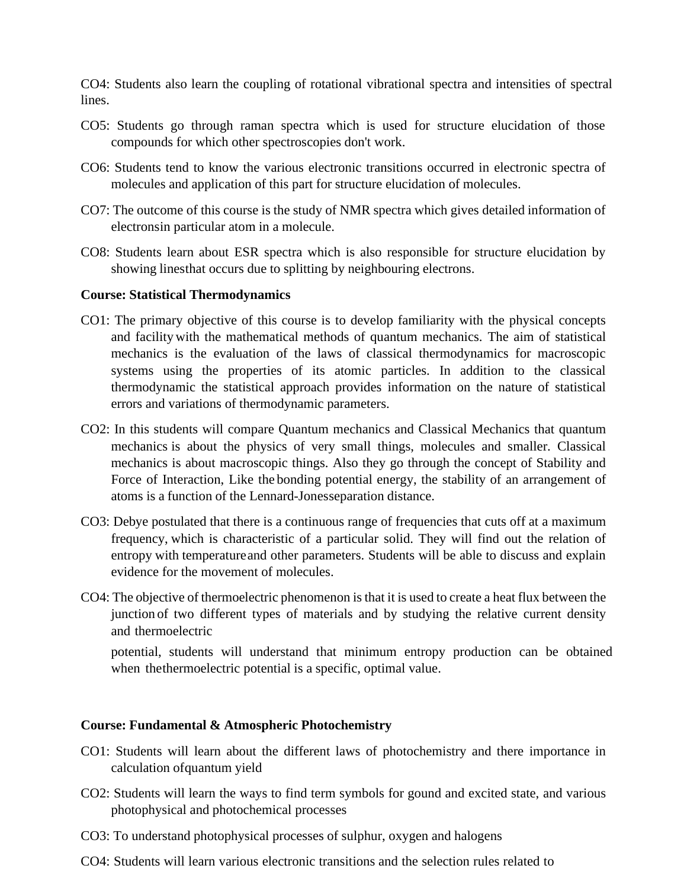CO4: Students also learn the coupling of rotational vibrational spectra and intensities of spectral lines.

- CO5: Students go through raman spectra which is used for structure elucidation of those compounds for which other spectroscopies don't work.
- CO6: Students tend to know the various electronic transitions occurred in electronic spectra of molecules and application of this part for structure elucidation of molecules.
- CO7: The outcome of this course is the study of NMR spectra which gives detailed information of electronsin particular atom in a molecule.
- CO8: Students learn about ESR spectra which is also responsible for structure elucidation by showing linesthat occurs due to splitting by neighbouring electrons.

## **Course: Statistical Thermodynamics**

- CO1: The primary objective of this course is to develop familiarity with the physical concepts and facility with the mathematical methods of quantum mechanics. The aim of statistical mechanics is the evaluation of the laws of classical thermodynamics for macroscopic systems using the properties of its atomic particles. In addition to the classical thermodynamic the statistical approach provides information on the nature of statistical errors and variations of thermodynamic parameters.
- CO2: In this students will compare Quantum mechanics and Classical Mechanics that quantum mechanics is about the physics of very small things, molecules and smaller. Classical mechanics is about macroscopic things. Also they go through the concept of Stability and Force of Interaction, Like the bonding potential energy, the stability of an arrangement of atoms is a function of the Lennard-Jonesseparation distance.
- CO3: Debye postulated that there is a continuous range of frequencies that cuts off at a maximum frequency, which is characteristic of a particular solid. They will find out the relation of entropy with temperatureand other parameters. Students will be able to discuss and explain evidence for the movement of molecules.
- CO4: The objective of thermoelectric phenomenon is that it is used to create a heat flux between the junction of two different types of materials and by studying the relative current density and thermoelectric

potential, students will understand that minimum entropy production can be obtained when thethermoelectric potential is a specific, optimal value.

# **Course: Fundamental & Atmospheric Photochemistry**

- CO1: Students will learn about the different laws of photochemistry and there importance in calculation ofquantum yield
- CO2: Students will learn the ways to find term symbols for gound and excited state, and various photophysical and photochemical processes
- CO3: To understand photophysical processes of sulphur, oxygen and halogens
- CO4: Students will learn various electronic transitions and the selection rules related to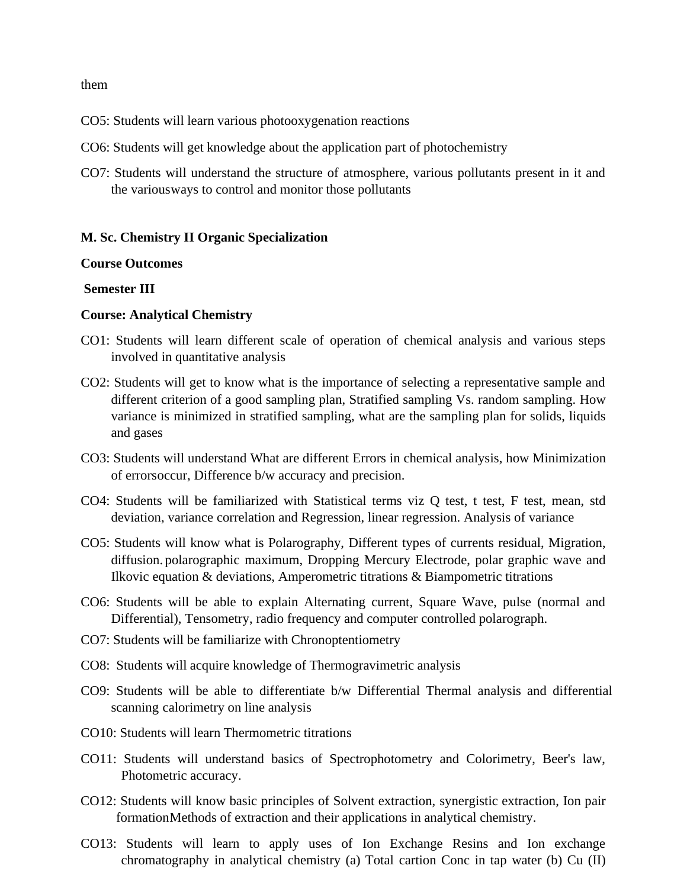them

- CO5: Students will learn various photooxygenation reactions
- CO6: Students will get knowledge about the application part of photochemistry
- CO7: Students will understand the structure of atmosphere, various pollutants present in it and the variousways to control and monitor those pollutants

#### **M. Sc. Chemistry II Organic Specialization**

#### **Course Outcomes**

#### **Semester III**

#### **Course: Analytical Chemistry**

- CO1: Students will learn different scale of operation of chemical analysis and various steps involved in quantitative analysis
- CO2: Students will get to know what is the importance of selecting a representative sample and different criterion of a good sampling plan, Stratified sampling Vs. random sampling. How variance is minimized in stratified sampling, what are the sampling plan for solids, liquids and gases
- CO3: Students will understand What are different Errors in chemical analysis, how Minimization of errorsoccur, Difference b/w accuracy and precision.
- CO4: Students will be familiarized with Statistical terms viz Q test, t test, F test, mean, std deviation, variance correlation and Regression, linear regression. Analysis of variance
- CO5: Students will know what is Polarography, Different types of currents residual, Migration, diffusion. polarographic maximum, Dropping Mercury Electrode, polar graphic wave and Ilkovic equation & deviations, Amperometric titrations & Biampometric titrations
- CO6: Students will be able to explain Alternating current, Square Wave, pulse (normal and Differential), Tensometry, radio frequency and computer controlled polarograph.
- CO7: Students will be familiarize with Chronoptentiometry
- CO8: Students will acquire knowledge of Thermogravimetric analysis
- CO9: Students will be able to differentiate b/w Differential Thermal analysis and differential scanning calorimetry on line analysis
- CO10: Students will learn Thermometric titrations
- CO11: Students will understand basics of Spectrophotometry and Colorimetry, Beer's law, Photometric accuracy.
- CO12: Students will know basic principles of Solvent extraction, synergistic extraction, Ion pair formationMethods of extraction and their applications in analytical chemistry.
- CO13: Students will learn to apply uses of Ion Exchange Resins and Ion exchange chromatography in analytical chemistry (a) Total cartion Conc in tap water (b) Cu (II)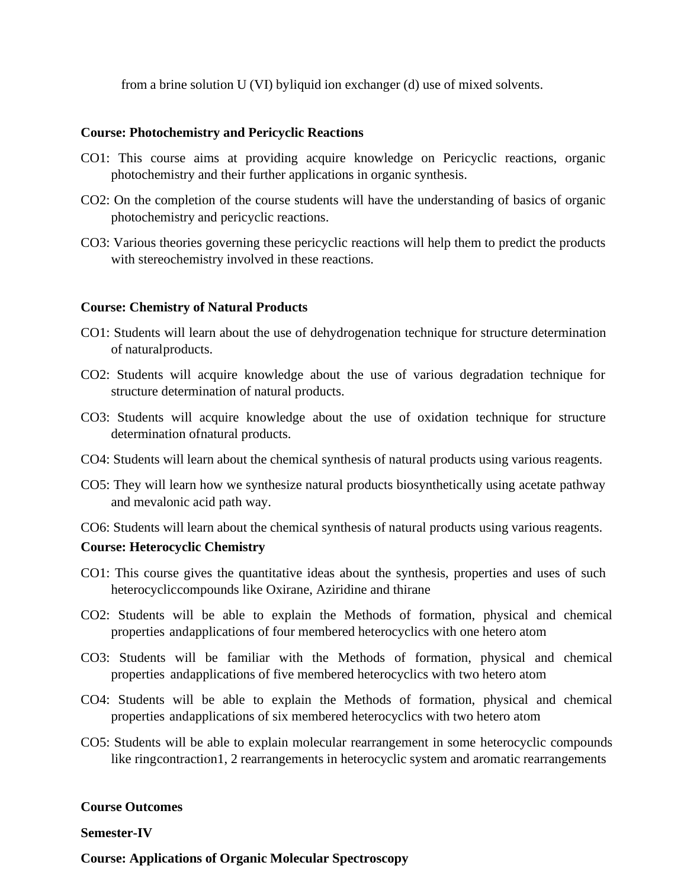from a brine solution U (VI) byliquid ion exchanger (d) use of mixed solvents.

## **Course: Photochemistry and Pericyclic Reactions**

- CO1: This course aims at providing acquire knowledge on Pericyclic reactions, organic photochemistry and their further applications in organic synthesis.
- CO2: On the completion of the course students will have the understanding of basics of organic photochemistry and pericyclic reactions.
- CO3: Various theories governing these pericyclic reactions will help them to predict the products with stereochemistry involved in these reactions.

# **Course: Chemistry of Natural Products**

- CO1: Students will learn about the use of dehydrogenation technique for structure determination of naturalproducts.
- CO2: Students will acquire knowledge about the use of various degradation technique for structure determination of natural products.
- CO3: Students will acquire knowledge about the use of oxidation technique for structure determination ofnatural products.
- CO4: Students will learn about the chemical synthesis of natural products using various reagents.
- CO5: They will learn how we synthesize natural products biosynthetically using acetate pathway and mevalonic acid path way.
- CO6: Students will learn about the chemical synthesis of natural products using various reagents.

#### **Course: Heterocyclic Chemistry**

- CO1: This course gives the quantitative ideas about the synthesis, properties and uses of such heterocycliccompounds like Oxirane, Aziridine and thirane
- CO2: Students will be able to explain the Methods of formation, physical and chemical properties andapplications of four membered heterocyclics with one hetero atom
- CO3: Students will be familiar with the Methods of formation, physical and chemical properties andapplications of five membered heterocyclics with two hetero atom
- CO4: Students will be able to explain the Methods of formation, physical and chemical properties andapplications of six membered heterocyclics with two hetero atom
- CO5: Students will be able to explain molecular rearrangement in some heterocyclic compounds like ringcontraction1, 2 rearrangements in heterocyclic system and aromatic rearrangements

## **Course Outcomes**

#### **Semester-IV**

**Course: Applications of Organic Molecular Spectroscopy**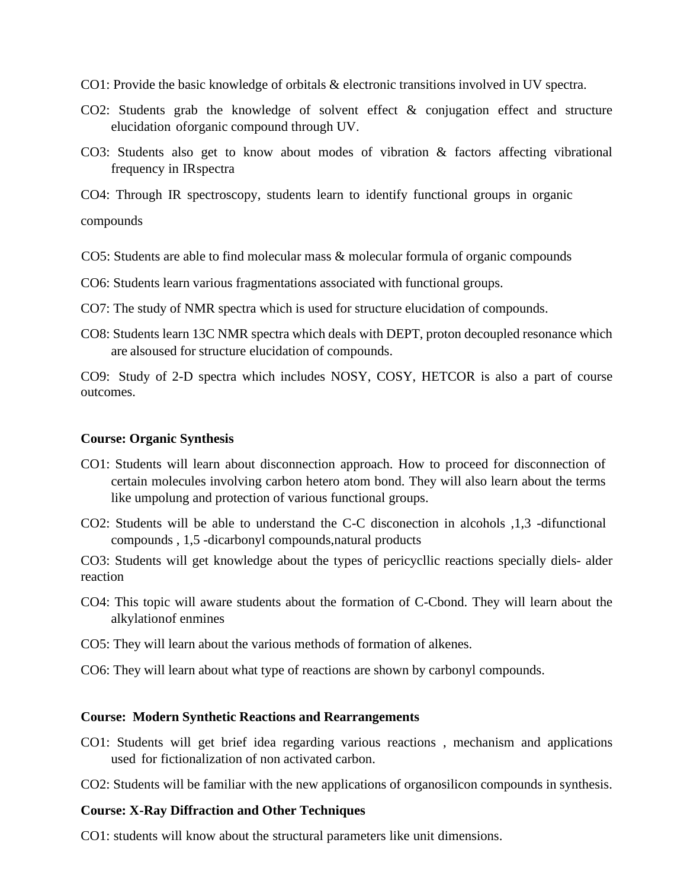- CO1: Provide the basic knowledge of orbitals & electronic transitions involved in UV spectra.
- CO2: Students grab the knowledge of solvent effect & conjugation effect and structure elucidation oforganic compound through UV.
- CO3: Students also get to know about modes of vibration & factors affecting vibrational frequency in IRspectra
- CO4: Through IR spectroscopy, students learn to identify functional groups in organic

compounds

- CO5: Students are able to find molecular mass & molecular formula of organic compounds
- CO6: Students learn various fragmentations associated with functional groups.
- CO7: The study of NMR spectra which is used for structure elucidation of compounds.
- CO8: Students learn 13C NMR spectra which deals with DEPT, proton decoupled resonance which are alsoused for structure elucidation of compounds.

CO9: Study of 2-D spectra which includes NOSY, COSY, HETCOR is also a part of course outcomes.

## **Course: Organic Synthesis**

- CO1: Students will learn about disconnection approach. How to proceed for disconnection of certain molecules involving carbon hetero atom bond. They will also learn about the terms like umpolung and protection of various functional groups.
- CO2: Students will be able to understand the C-C disconection in alcohols ,1,3 -difunctional compounds , 1,5 -dicarbonyl compounds,natural products

CO3: Students will get knowledge about the types of pericycllic reactions specially diels- alder reaction

- CO4: This topic will aware students about the formation of C-Cbond. They will learn about the alkylationof enmines
- CO5: They will learn about the various methods of formation of alkenes.
- CO6: They will learn about what type of reactions are shown by carbonyl compounds.

#### **Course: Modern Synthetic Reactions and Rearrangements**

- CO1: Students will get brief idea regarding various reactions , mechanism and applications used for fictionalization of non activated carbon.
- CO2: Students will be familiar with the new applications of organosilicon compounds in synthesis.

#### **Course: X-Ray Diffraction and Other Techniques**

CO1: students will know about the structural parameters like unit dimensions.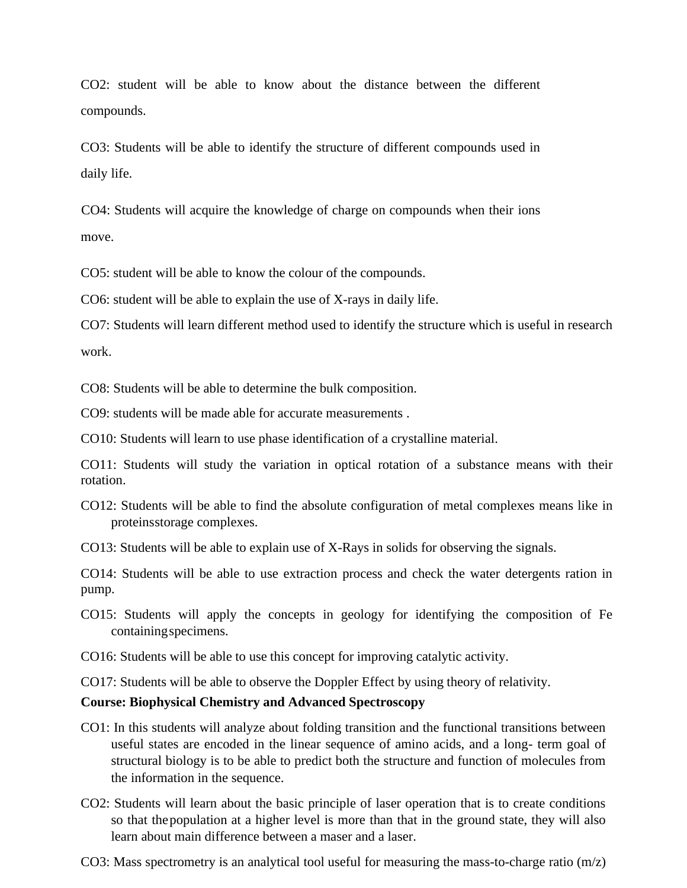CO2: student will be able to know about the distance between the different compounds.

CO3: Students will be able to identify the structure of different compounds used in daily life.

CO4: Students will acquire the knowledge of charge on compounds when their ions move.

CO5: student will be able to know the colour of the compounds.

CO6: student will be able to explain the use of X-rays in daily life.

CO7: Students will learn different method used to identify the structure which is useful in research work.

CO8: Students will be able to determine the bulk composition.

CO9: students will be made able for accurate measurements .

CO10: Students will learn to use phase identification of a crystalline material.

CO11: Students will study the variation in optical rotation of a substance means with their rotation.

- CO12: Students will be able to find the absolute configuration of metal complexes means like in proteinsstorage complexes.
- CO13: Students will be able to explain use of X-Rays in solids for observing the signals.

CO14: Students will be able to use extraction process and check the water detergents ration in pump.

- CO15: Students will apply the concepts in geology for identifying the composition of Fe containing specimens.
- CO16: Students will be able to use this concept for improving catalytic activity.

CO17: Students will be able to observe the Doppler Effect by using theory of relativity.

#### **Course: Biophysical Chemistry and Advanced Spectroscopy**

- CO1: In this students will analyze about folding transition and the functional transitions between useful states are encoded in the linear sequence of amino acids, and a long- term goal of structural biology is to be able to predict both the structure and function of molecules from the information in the sequence.
- CO2: Students will learn about the basic principle of laser operation that is to create conditions so that thepopulation at a higher level is more than that in the ground state, they will also learn about main difference between a maser and a laser.
- CO3: Mass spectrometry is an analytical tool useful for measuring the mass-to-charge ratio (m/z)